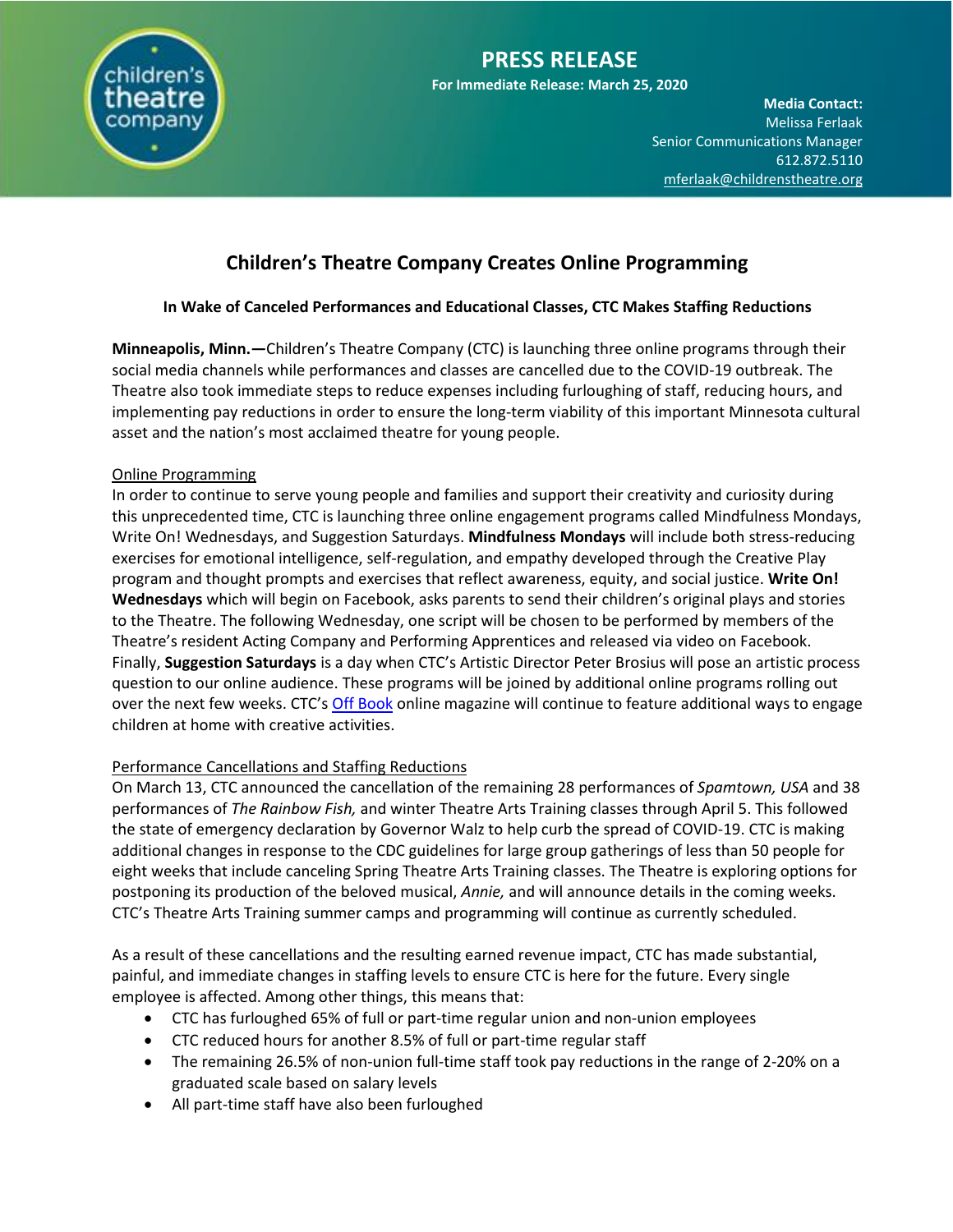

# **Children's Theatre Company Creates Online Programming**

## **In Wake of Canceled Performances and Educational Classes, CTC Makes Staffing Reductions**

**Minneapolis, Minn.—**Children's Theatre Company (CTC) is launching three online programs through their social media channels while performances and classes are cancelled due to the COVID-19 outbreak. The Theatre also took immediate steps to reduce expenses including furloughing of staff, reducing hours, and implementing pay reductions in order to ensure the long-term viability of this important Minnesota cultural asset and the nation's most acclaimed theatre for young people.

### Online Programming

In order to continue to serve young people and families and support their creativity and curiosity during this unprecedented time, CTC is launching three online engagement programs called Mindfulness Mondays, Write On! Wednesdays, and Suggestion Saturdays. **Mindfulness Mondays** will include both stress-reducing exercises for emotional intelligence, self-regulation, and empathy developed through the Creative Play program and thought prompts and exercises that reflect awareness, equity, and social justice. **Write On! Wednesdays** which will begin on Facebook, asks parents to send their children's original plays and stories to the Theatre. The following Wednesday, one script will be chosen to be performed by members of the Theatre's resident Acting Company and Performing Apprentices and released via video on Facebook. Finally, **Suggestion Saturdays** is a day when CTC's Artistic Director Peter Brosius will pose an artistic process question to our online audience. These programs will be joined by additional online programs rolling out over the next few weeks. CTC's [Off Book](https://offbook.childrenstheatre.org/) online magazine will continue to feature additional ways to engage children at home with creative activities.

### Performance Cancellations and Staffing Reductions

On March 13, CTC announced the cancellation of the remaining 28 performances of *Spamtown, USA* and 38 performances of *The Rainbow Fish,* and winter Theatre Arts Training classes through April 5. This followed the state of emergency declaration by Governor Walz to help curb the spread of COVID-19. CTC is making additional changes in response to the CDC guidelines for large group gatherings of less than 50 people for eight weeks that include canceling Spring Theatre Arts Training classes. The Theatre is exploring options for postponing its production of the beloved musical, *Annie,* and will announce details in the coming weeks. CTC's Theatre Arts Training summer camps and programming will continue as currently scheduled.

As a result of these cancellations and the resulting earned revenue impact, CTC has made substantial, painful, and immediate changes in staffing levels to ensure CTC is here for the future. Every single employee is affected. Among other things, this means that:

- CTC has furloughed 65% of full or part-time regular union and non-union employees
- CTC reduced hours for another 8.5% of full or part-time regular staff
- The remaining 26.5% of non-union full-time staff took pay reductions in the range of 2-20% on a graduated scale based on salary levels
- All part-time staff have also been furloughed